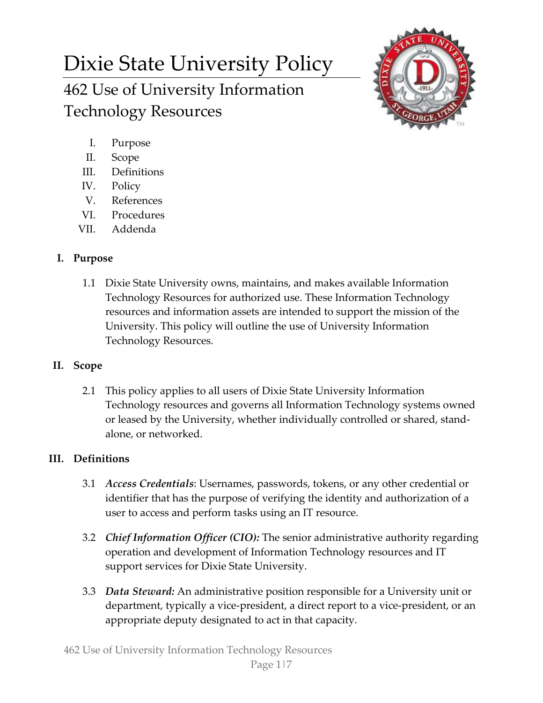# Dixie State University Policy 462 Use of University Information Technology Resources



- I. Purpose
- II. Scope
- III. Definitions
- IV. Policy
- V. References
- VI. Procedures
- VII. Addenda

# **I. Purpose**

1.1 Dixie State University owns, maintains, and makes available Information Technology Resources for authorized use. These Information Technology resources and information assets are intended to support the mission of the University. This policy will outline the use of University Information Technology Resources.

# **II. Scope**

2.1 This policy applies to all users of Dixie State University Information Technology resources and governs all Information Technology systems owned or leased by the University, whether individually controlled or shared, standalone, or networked.

# **III. Definitions**

- 3.1 *Access Credentials*: Usernames, passwords, tokens, or any other credential or identifier that has the purpose of verifying the identity and authorization of a user to access and perform tasks using an IT resource.
- 3.2 *Chief Information Officer (CIO):* The senior administrative authority regarding operation and development of Information Technology resources and IT support services for Dixie State University.
- 3.3 *Data Steward:* An administrative position responsible for a University unit or department, typically a vice-president, a direct report to a vice-president, or an appropriate deputy designated to act in that capacity.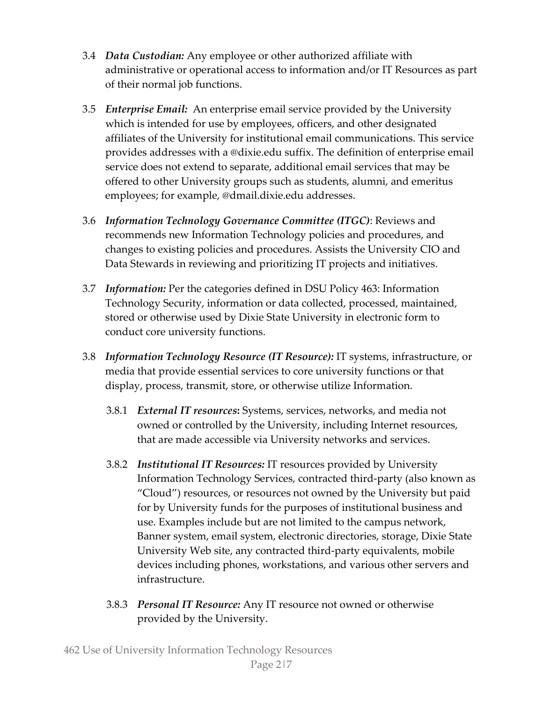- 3.4 *Data Custodian:* Any employee or other authorized affiliate with administrative or operational access to information and/or IT Resources as part of their normal job functions.
- 3.5 *Enterprise Email:* An enterprise email service provided by the University which is intended for use by employees, officers, and other designated affiliates of the University for institutional email communications. This service provides addresses with a @dixie.edu suffix. The definition of enterprise email service does not extend to separate, additional email services that may be offered to other University groups such as students, alumni, and emeritus employees; for example, @dmail.dixie.edu addresses.
- 3.6 *Information Technology Governance Committee (ITGC)*: Reviews and recommends new Information Technology policies and procedures, and changes to existing policies and procedures. Assists the University CIO and Data Stewards in reviewing and prioritizing IT projects and initiatives.
- 3.7 *Information:* Per the categories defined in DSU Policy 463: Information Technology Security, information or data collected, processed, maintained, stored or otherwise used by Dixie State University in electronic form to conduct core university functions.
- 3.8 *Information Technology Resource (IT Resource):* IT systems, infrastructure, or media that provide essential services to core university functions or that display, process, transmit, store, or otherwise utilize Information.
	- 3.8.1 *External IT resources***:** Systems, services, networks, and media not owned or controlled by the University, including Internet resources, that are made accessible via University networks and services.
	- 3.8.2 *Institutional IT Resources:* IT resources provided by University Information Technology Services, contracted third-party (also known as "Cloud") resources, or resources not owned by the University but paid for by University funds for the purposes of institutional business and use. Examples include but are not limited to the campus network, Banner system, email system, electronic directories, storage, Dixie State University Web site, any contracted third-party equivalents, mobile devices including phones, workstations, and various other servers and infrastructure.
	- 3.8.3 *Personal IT Resource:* Any IT resource not owned or otherwise provided by the University.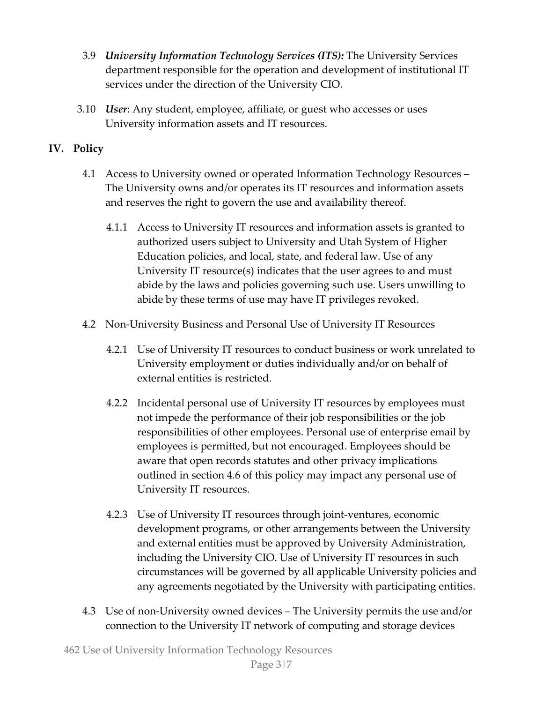- 3.9 *University Information Technology Services (ITS):* The University Services department responsible for the operation and development of institutional IT services under the direction of the University CIO.
- 3.10 *User*: Any student, employee, affiliate, or guest who accesses or uses University information assets and IT resources.

## **IV. Policy**

- 4.1 Access to University owned or operated Information Technology Resources The University owns and/or operates its IT resources and information assets and reserves the right to govern the use and availability thereof.
	- 4.1.1 Access to University IT resources and information assets is granted to authorized users subject to University and Utah System of Higher Education policies, and local, state, and federal law. Use of any University IT resource(s) indicates that the user agrees to and must abide by the laws and policies governing such use. Users unwilling to abide by these terms of use may have IT privileges revoked.
- 4.2 Non-University Business and Personal Use of University IT Resources
	- 4.2.1 Use of University IT resources to conduct business or work unrelated to University employment or duties individually and/or on behalf of external entities is restricted.
	- 4.2.2 Incidental personal use of University IT resources by employees must not impede the performance of their job responsibilities or the job responsibilities of other employees. Personal use of enterprise email by employees is permitted, but not encouraged. Employees should be aware that open records statutes and other privacy implications outlined in section 4.6 of this policy may impact any personal use of University IT resources.
	- 4.2.3 Use of University IT resources through joint-ventures, economic development programs, or other arrangements between the University and external entities must be approved by University Administration, including the University CIO. Use of University IT resources in such circumstances will be governed by all applicable University policies and any agreements negotiated by the University with participating entities.
- 4.3 Use of non-University owned devices The University permits the use and/or connection to the University IT network of computing and storage devices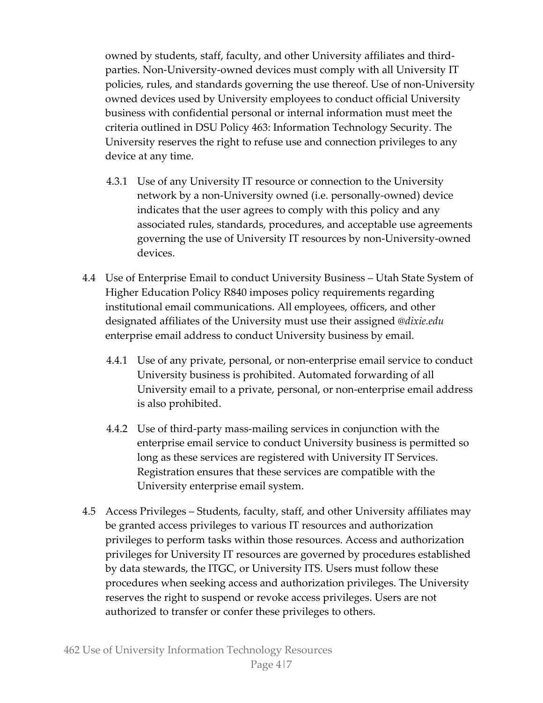owned by students, staff, faculty, and other University affiliates and thirdparties. Non-University-owned devices must comply with all University IT policies, rules, and standards governing the use thereof. Use of non-University owned devices used by University employees to conduct official University business with confidential personal or internal information must meet the criteria outlined in DSU Policy 463: Information Technology Security. The University reserves the right to refuse use and connection privileges to any device at any time.

- 4.3.1 Use of any University IT resource or connection to the University network by a non-University owned (i.e. personally-owned) device indicates that the user agrees to comply with this policy and any associated rules, standards, procedures, and acceptable use agreements governing the use of University IT resources by non-University-owned devices.
- 4.4 Use of Enterprise Email to conduct University Business Utah State System of Higher Education Policy R840 imposes policy requirements regarding institutional email communications. All employees, officers, and other designated affiliates of the University must use their assigned *@dixie.edu* enterprise email address to conduct University business by email.
	- 4.4.1 Use of any private, personal, or non-enterprise email service to conduct University business is prohibited. Automated forwarding of all University email to a private, personal, or non-enterprise email address is also prohibited.
	- 4.4.2 Use of third-party mass-mailing services in conjunction with the enterprise email service to conduct University business is permitted so long as these services are registered with University IT Services. Registration ensures that these services are compatible with the University enterprise email system.
- 4.5 Access Privileges Students, faculty, staff, and other University affiliates may be granted access privileges to various IT resources and authorization privileges to perform tasks within those resources. Access and authorization privileges for University IT resources are governed by procedures established by data stewards, the ITGC, or University ITS. Users must follow these procedures when seeking access and authorization privileges. The University reserves the right to suspend or revoke access privileges. Users are not authorized to transfer or confer these privileges to others.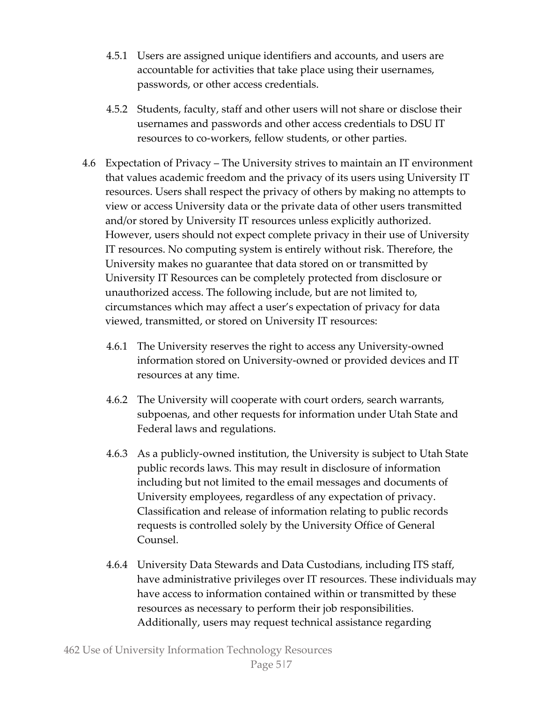- 4.5.1 Users are assigned unique identifiers and accounts, and users are accountable for activities that take place using their usernames, passwords, or other access credentials.
- 4.5.2 Students, faculty, staff and other users will not share or disclose their usernames and passwords and other access credentials to DSU IT resources to co-workers, fellow students, or other parties.
- 4.6 Expectation of Privacy The University strives to maintain an IT environment that values academic freedom and the privacy of its users using University IT resources. Users shall respect the privacy of others by making no attempts to view or access University data or the private data of other users transmitted and/or stored by University IT resources unless explicitly authorized. However, users should not expect complete privacy in their use of University IT resources. No computing system is entirely without risk. Therefore, the University makes no guarantee that data stored on or transmitted by University IT Resources can be completely protected from disclosure or unauthorized access. The following include, but are not limited to, circumstances which may affect a user's expectation of privacy for data viewed, transmitted, or stored on University IT resources:
	- 4.6.1 The University reserves the right to access any University-owned information stored on University-owned or provided devices and IT resources at any time.
	- 4.6.2 The University will cooperate with court orders, search warrants, subpoenas, and other requests for information under Utah State and Federal laws and regulations.
	- 4.6.3 As a publicly-owned institution, the University is subject to Utah State public records laws. This may result in disclosure of information including but not limited to the email messages and documents of University employees, regardless of any expectation of privacy. Classification and release of information relating to public records requests is controlled solely by the University Office of General Counsel.
	- 4.6.4 University Data Stewards and Data Custodians, including ITS staff, have administrative privileges over IT resources. These individuals may have access to information contained within or transmitted by these resources as necessary to perform their job responsibilities. Additionally, users may request technical assistance regarding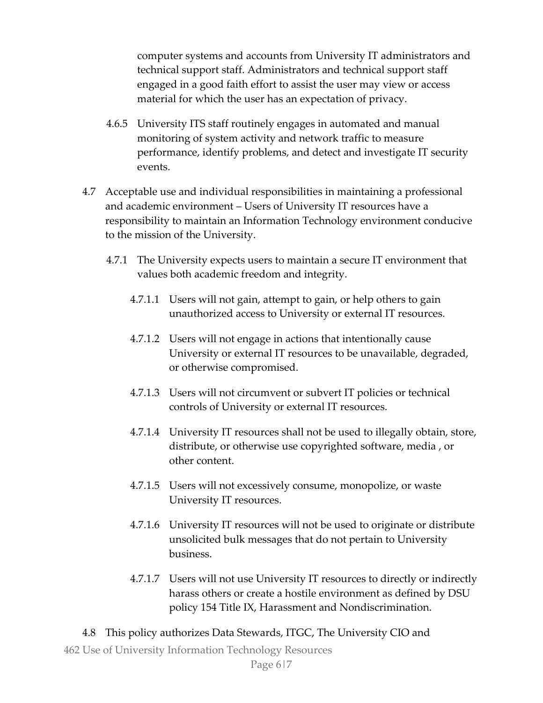computer systems and accounts from University IT administrators and technical support staff. Administrators and technical support staff engaged in a good faith effort to assist the user may view or access material for which the user has an expectation of privacy.

- 4.6.5 University ITS staff routinely engages in automated and manual monitoring of system activity and network traffic to measure performance, identify problems, and detect and investigate IT security events.
- 4.7 Acceptable use and individual responsibilities in maintaining a professional and academic environment – Users of University IT resources have a responsibility to maintain an Information Technology environment conducive to the mission of the University.
	- 4.7.1 The University expects users to maintain a secure IT environment that values both academic freedom and integrity.
		- 4.7.1.1 Users will not gain, attempt to gain, or help others to gain unauthorized access to University or external IT resources.
		- 4.7.1.2 Users will not engage in actions that intentionally cause University or external IT resources to be unavailable, degraded, or otherwise compromised.
		- 4.7.1.3 Users will not circumvent or subvert IT policies or technical controls of University or external IT resources.
		- 4.7.1.4 University IT resources shall not be used to illegally obtain, store, distribute, or otherwise use copyrighted software, media , or other content.
		- 4.7.1.5 Users will not excessively consume, monopolize, or waste University IT resources.
		- 4.7.1.6 University IT resources will not be used to originate or distribute unsolicited bulk messages that do not pertain to University business.
		- 4.7.1.7 Users will not use University IT resources to directly or indirectly harass others or create a hostile environment as defined by DSU policy 154 Title IX, Harassment and Nondiscrimination.
- 4.8 This policy authorizes Data Stewards, ITGC, The University CIO and

462 Use of University Information Technology Resources